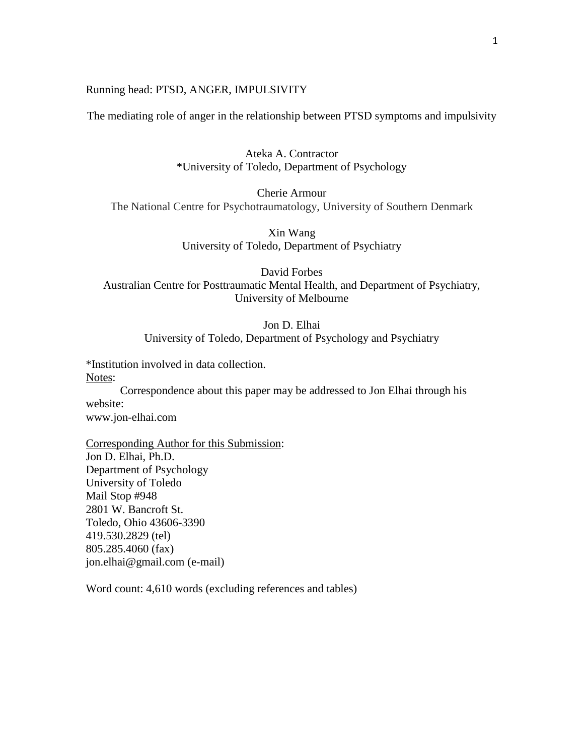# Running head: PTSD, ANGER, IMPULSIVITY

The mediating role of anger in the relationship between PTSD symptoms and impulsivity

Ateka A. Contractor \*University of Toledo, Department of Psychology

Cherie Armour The National Centre for Psychotraumatology, University of Southern Denmark

> Xin Wang University of Toledo, Department of Psychiatry

David Forbes Australian Centre for Posttraumatic Mental Health, and Department of Psychiatry, University of Melbourne

Jon D. Elhai

University of Toledo, Department of Psychology and Psychiatry

\*Institution involved in data collection. Notes:

Correspondence about this paper may be addressed to Jon Elhai through his website:

www.jon-elhai.com

Corresponding Author for this Submission: Jon D. Elhai, Ph.D. Department of Psychology University of Toledo Mail Stop #948 2801 W. Bancroft St. Toledo, Ohio 43606-3390 419.530.2829 (tel) 805.285.4060 (fax) jon.elhai@gmail.com (e-mail)

Word count: 4,610 words (excluding references and tables)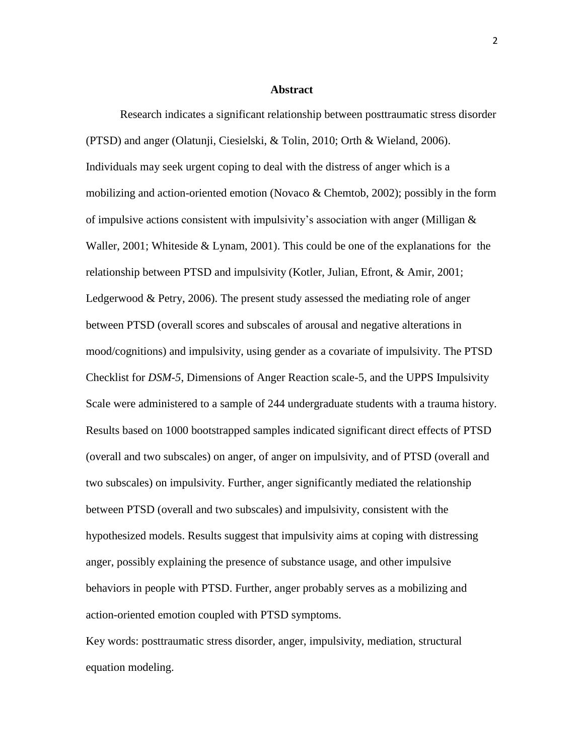#### **Abstract**

Research indicates a significant relationship between posttraumatic stress disorder (PTSD) and anger (Olatunji, Ciesielski, & Tolin, 2010; Orth & Wieland, 2006). Individuals may seek urgent coping to deal with the distress of anger which is a mobilizing and action-oriented emotion (Novaco & Chemtob, 2002); possibly in the form of impulsive actions consistent with impulsivity's association with anger (Milligan & Waller, 2001; Whiteside & Lynam, 2001). This could be one of the explanations for the relationship between PTSD and impulsivity (Kotler, Julian, Efront, & Amir, 2001; Ledgerwood & Petry, 2006). The present study assessed the mediating role of anger between PTSD (overall scores and subscales of arousal and negative alterations in mood/cognitions) and impulsivity, using gender as a covariate of impulsivity. The PTSD Checklist for *DSM-5*, Dimensions of Anger Reaction scale-5, and the UPPS Impulsivity Scale were administered to a sample of 244 undergraduate students with a trauma history. Results based on 1000 bootstrapped samples indicated significant direct effects of PTSD (overall and two subscales) on anger, of anger on impulsivity, and of PTSD (overall and two subscales) on impulsivity. Further, anger significantly mediated the relationship between PTSD (overall and two subscales) and impulsivity, consistent with the hypothesized models. Results suggest that impulsivity aims at coping with distressing anger, possibly explaining the presence of substance usage, and other impulsive behaviors in people with PTSD. Further, anger probably serves as a mobilizing and action-oriented emotion coupled with PTSD symptoms.

Key words: posttraumatic stress disorder, anger, impulsivity, mediation, structural equation modeling.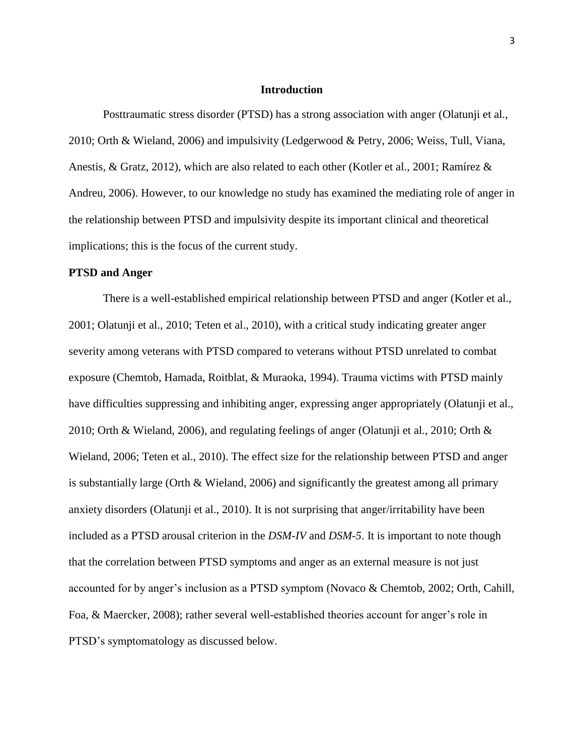#### **Introduction**

Posttraumatic stress disorder (PTSD) has a strong association with anger (Olatunji et al., 2010; Orth & Wieland, 2006) and impulsivity (Ledgerwood & Petry, 2006; Weiss, Tull, Viana, Anestis, & Gratz, 2012), which are also related to each other (Kotler et al., 2001; Ramírez & Andreu, 2006). However, to our knowledge no study has examined the mediating role of anger in the relationship between PTSD and impulsivity despite its important clinical and theoretical implications; this is the focus of the current study.

#### **PTSD and Anger**

There is a well-established empirical relationship between PTSD and anger (Kotler et al., 2001; Olatunji et al., 2010; Teten et al., 2010), with a critical study indicating greater anger severity among veterans with PTSD compared to veterans without PTSD unrelated to combat exposure (Chemtob, Hamada, Roitblat, & Muraoka, 1994). Trauma victims with PTSD mainly have difficulties suppressing and inhibiting anger, expressing anger appropriately (Olatunji et al., 2010; Orth & Wieland, 2006), and regulating feelings of anger (Olatunji et al., 2010; Orth & Wieland, 2006; Teten et al., 2010). The effect size for the relationship between PTSD and anger is substantially large (Orth & Wieland, 2006) and significantly the greatest among all primary anxiety disorders (Olatunji et al., 2010). It is not surprising that anger/irritability have been included as a PTSD arousal criterion in the *DSM-IV* and *DSM-5*. It is important to note though that the correlation between PTSD symptoms and anger as an external measure is not just accounted for by anger's inclusion as a PTSD symptom (Novaco & Chemtob, 2002; Orth, Cahill, Foa, & Maercker, 2008); rather several well-established theories account for anger's role in PTSD's symptomatology as discussed below.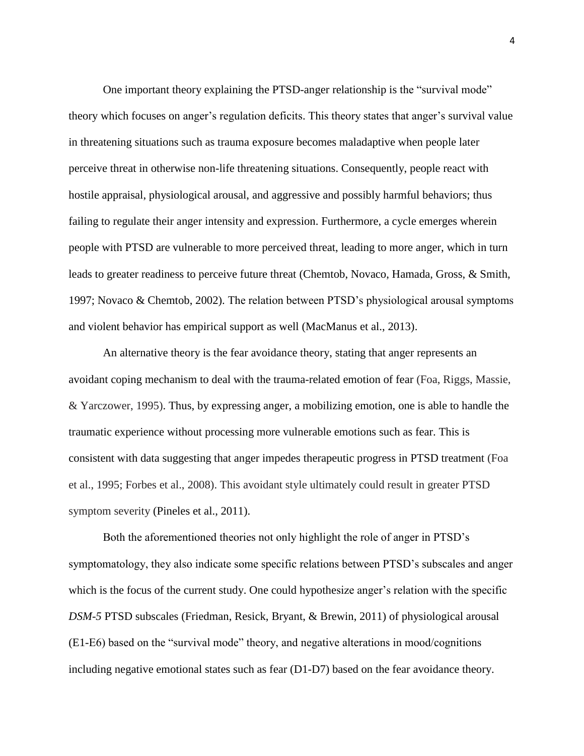One important theory explaining the PTSD-anger relationship is the "survival mode" theory which focuses on anger's regulation deficits. This theory states that anger's survival value in threatening situations such as trauma exposure becomes maladaptive when people later perceive threat in otherwise non-life threatening situations. Consequently, people react with hostile appraisal, physiological arousal, and aggressive and possibly harmful behaviors; thus failing to regulate their anger intensity and expression. Furthermore, a cycle emerges wherein people with PTSD are vulnerable to more perceived threat, leading to more anger, which in turn leads to greater readiness to perceive future threat (Chemtob, Novaco, Hamada, Gross, & Smith, 1997; Novaco & Chemtob, 2002). The relation between PTSD's physiological arousal symptoms and violent behavior has empirical support as well (MacManus et al., 2013).

An alternative theory is the fear avoidance theory, stating that anger represents an avoidant coping mechanism to deal with the trauma-related emotion of fear (Foa, Riggs, Massie, & Yarczower, 1995). Thus, by expressing anger, a mobilizing emotion, one is able to handle the traumatic experience without processing more vulnerable emotions such as fear. This is consistent with data suggesting that anger impedes therapeutic progress in PTSD treatment (Foa et al., 1995; Forbes et al., 2008). This avoidant style ultimately could result in greater PTSD symptom severity (Pineles et al., 2011).

Both the aforementioned theories not only highlight the role of anger in PTSD's symptomatology, they also indicate some specific relations between PTSD's subscales and anger which is the focus of the current study. One could hypothesize anger's relation with the specific *DSM*-*5* PTSD subscales (Friedman, Resick, Bryant, & Brewin, 2011) of physiological arousal (E1-E6) based on the "survival mode" theory, and negative alterations in mood/cognitions including negative emotional states such as fear (D1-D7) based on the fear avoidance theory.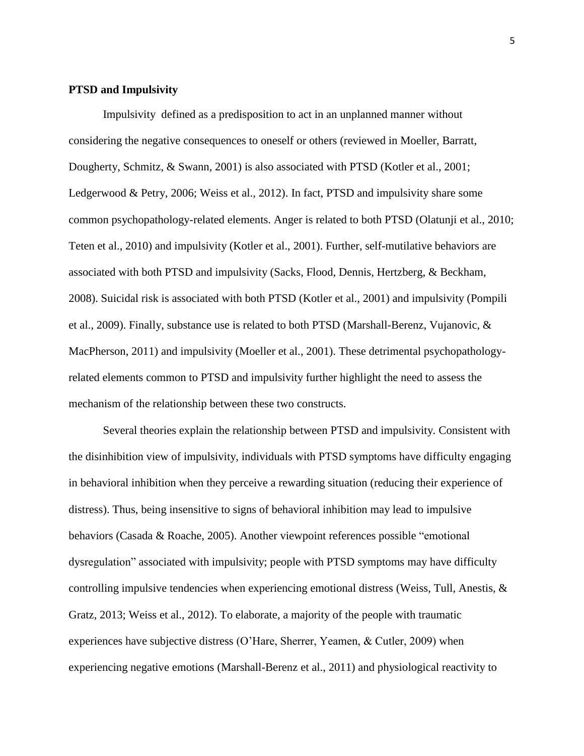# **PTSD and Impulsivity**

Impulsivity defined as a predisposition to act in an unplanned manner without considering the negative consequences to oneself or others (reviewed in Moeller, Barratt, Dougherty, Schmitz, & Swann, 2001) is also associated with PTSD (Kotler et al., 2001; Ledgerwood & Petry, 2006; Weiss et al., 2012). In fact, PTSD and impulsivity share some common psychopathology-related elements. Anger is related to both PTSD (Olatunji et al., 2010; Teten et al., 2010) and impulsivity (Kotler et al., 2001). Further, self-mutilative behaviors are associated with both PTSD and impulsivity (Sacks, Flood, Dennis, Hertzberg, & Beckham, 2008). Suicidal risk is associated with both PTSD (Kotler et al., 2001) and impulsivity (Pompili et al., 2009). Finally, substance use is related to both PTSD (Marshall-Berenz, Vujanovic, & MacPherson, 2011) and impulsivity (Moeller et al., 2001). These detrimental psychopathologyrelated elements common to PTSD and impulsivity further highlight the need to assess the mechanism of the relationship between these two constructs.

Several theories explain the relationship between PTSD and impulsivity. Consistent with the disinhibition view of impulsivity, individuals with PTSD symptoms have difficulty engaging in behavioral inhibition when they perceive a rewarding situation (reducing their experience of distress). Thus, being insensitive to signs of behavioral inhibition may lead to impulsive behaviors (Casada & Roache, 2005). Another viewpoint references possible "emotional dysregulation" associated with impulsivity; people with PTSD symptoms may have difficulty controlling impulsive tendencies when experiencing emotional distress (Weiss, Tull, Anestis, & Gratz, 2013; Weiss et al., 2012). To elaborate, a majority of the people with traumatic experiences have subjective distress (O'Hare, Sherrer, Yeamen, & Cutler, 2009) when experiencing negative emotions (Marshall-Berenz et al., 2011) and physiological reactivity to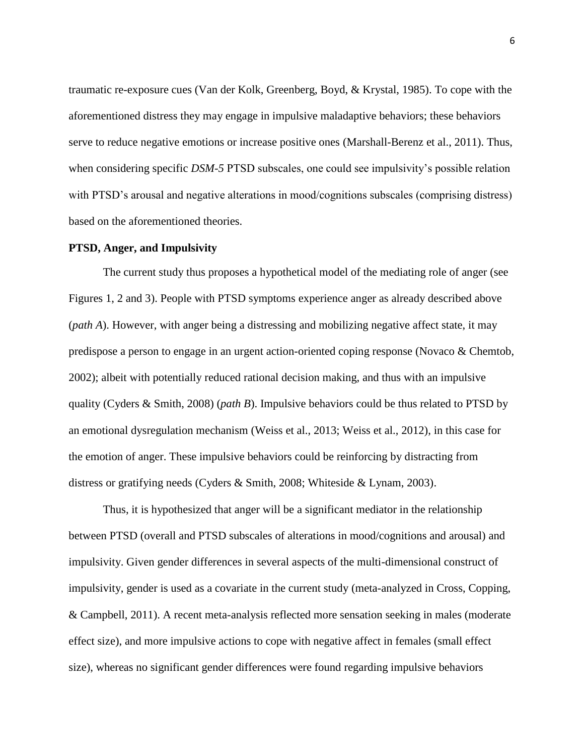traumatic re-exposure cues (Van der Kolk, Greenberg, Boyd, & Krystal, 1985). To cope with the aforementioned distress they may engage in impulsive maladaptive behaviors; these behaviors serve to reduce negative emotions or increase positive ones (Marshall-Berenz et al., 2011). Thus, when considering specific *DSM*-*5* PTSD subscales, one could see impulsivity's possible relation with PTSD's arousal and negative alterations in mood/cognitions subscales (comprising distress) based on the aforementioned theories.

# **PTSD, Anger, and Impulsivity**

The current study thus proposes a hypothetical model of the mediating role of anger (see Figures 1, 2 and 3). People with PTSD symptoms experience anger as already described above (*path A*). However, with anger being a distressing and mobilizing negative affect state, it may predispose a person to engage in an urgent action-oriented coping response (Novaco & Chemtob, 2002); albeit with potentially reduced rational decision making, and thus with an impulsive quality (Cyders & Smith, 2008) (*path B*). Impulsive behaviors could be thus related to PTSD by an emotional dysregulation mechanism (Weiss et al., 2013; Weiss et al., 2012), in this case for the emotion of anger. These impulsive behaviors could be reinforcing by distracting from distress or gratifying needs (Cyders & Smith, 2008; Whiteside & Lynam, 2003).

Thus, it is hypothesized that anger will be a significant mediator in the relationship between PTSD (overall and PTSD subscales of alterations in mood/cognitions and arousal) and impulsivity. Given gender differences in several aspects of the multi-dimensional construct of impulsivity, gender is used as a covariate in the current study (meta-analyzed in Cross, Copping, & Campbell, 2011). A recent meta-analysis reflected more sensation seeking in males (moderate effect size), and more impulsive actions to cope with negative affect in females (small effect size), whereas no significant gender differences were found regarding impulsive behaviors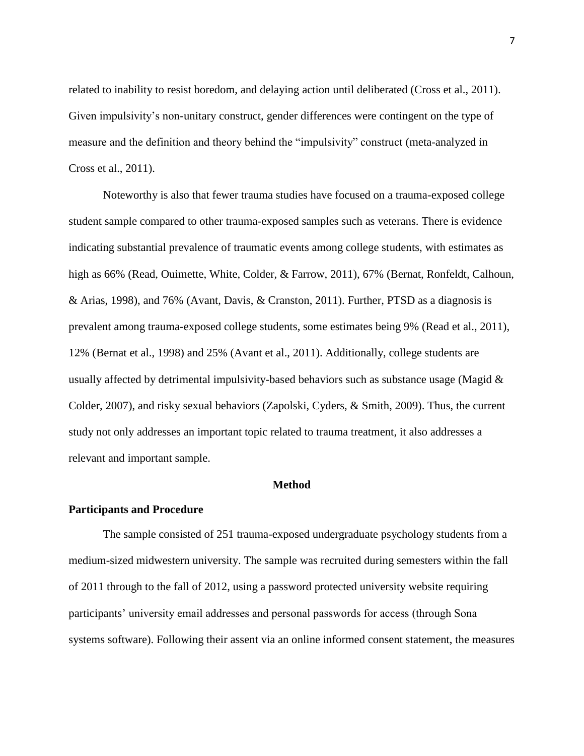related to inability to resist boredom, and delaying action until deliberated (Cross et al., 2011). Given impulsivity's non-unitary construct, gender differences were contingent on the type of measure and the definition and theory behind the "impulsivity" construct (meta-analyzed in Cross et al., 2011).

Noteworthy is also that fewer trauma studies have focused on a trauma-exposed college student sample compared to other trauma-exposed samples such as veterans. There is evidence indicating substantial prevalence of traumatic events among college students, with estimates as high as 66% (Read, Ouimette, White, Colder, & Farrow, 2011), 67% (Bernat, Ronfeldt, Calhoun, & Arias, 1998), and 76% (Avant, Davis, & Cranston, 2011). Further, PTSD as a diagnosis is prevalent among trauma-exposed college students, some estimates being 9% (Read et al., 2011), 12% (Bernat et al., 1998) and 25% (Avant et al., 2011). Additionally, college students are usually affected by detrimental impulsivity-based behaviors such as substance usage (Magid & Colder, 2007), and risky sexual behaviors (Zapolski, Cyders, & Smith, 2009). Thus, the current study not only addresses an important topic related to trauma treatment, it also addresses a relevant and important sample.

#### **Method**

# **Participants and Procedure**

The sample consisted of 251 trauma-exposed undergraduate psychology students from a medium-sized midwestern university. The sample was recruited during semesters within the fall of 2011 through to the fall of 2012, using a password protected university website requiring participants' university email addresses and personal passwords for access (through Sona systems software). Following their assent via an online informed consent statement, the measures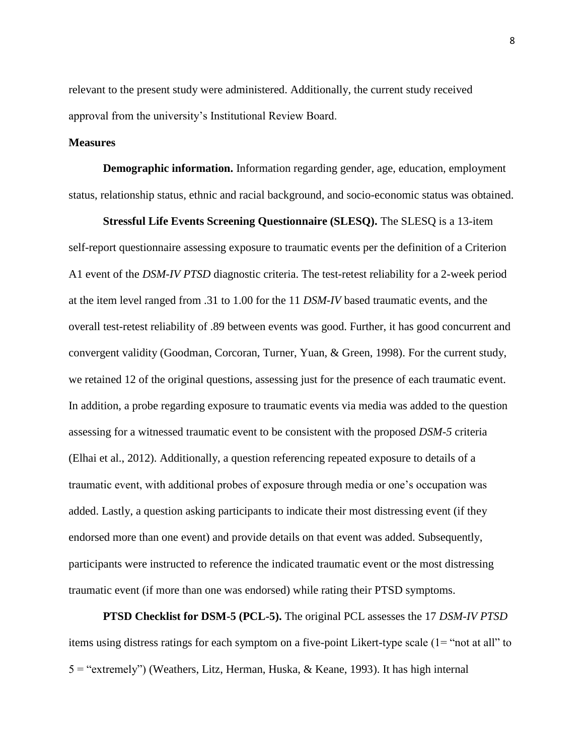relevant to the present study were administered. Additionally, the current study received approval from the university's Institutional Review Board.

# **Measures**

**Demographic information.** Information regarding gender, age, education, employment status, relationship status, ethnic and racial background, and socio-economic status was obtained.

**Stressful Life Events Screening Questionnaire (SLESQ).** The SLESQ is a 13-item self-report questionnaire assessing exposure to traumatic events per the definition of a Criterion A1 event of the *DSM-IV PTSD* diagnostic criteria. The test-retest reliability for a 2-week period at the item level ranged from .31 to 1.00 for the 11 *DSM-IV* based traumatic events, and the overall test-retest reliability of .89 between events was good. Further, it has good concurrent and convergent validity (Goodman, Corcoran, Turner, Yuan, & Green, 1998). For the current study, we retained 12 of the original questions, assessing just for the presence of each traumatic event. In addition, a probe regarding exposure to traumatic events via media was added to the question assessing for a witnessed traumatic event to be consistent with the proposed *DSM-5* criteria (Elhai et al., 2012). Additionally, a question referencing repeated exposure to details of a traumatic event, with additional probes of exposure through media or one's occupation was added. Lastly, a question asking participants to indicate their most distressing event (if they endorsed more than one event) and provide details on that event was added. Subsequently, participants were instructed to reference the indicated traumatic event or the most distressing traumatic event (if more than one was endorsed) while rating their PTSD symptoms.

**PTSD Checklist for DSM-5 (PCL-5).** The original PCL assesses the 17 *DSM-IV PTSD* items using distress ratings for each symptom on a five-point Likert-type scale (1= "not at all" to 5 = "extremely") (Weathers, Litz, Herman, Huska, & Keane, 1993). It has high internal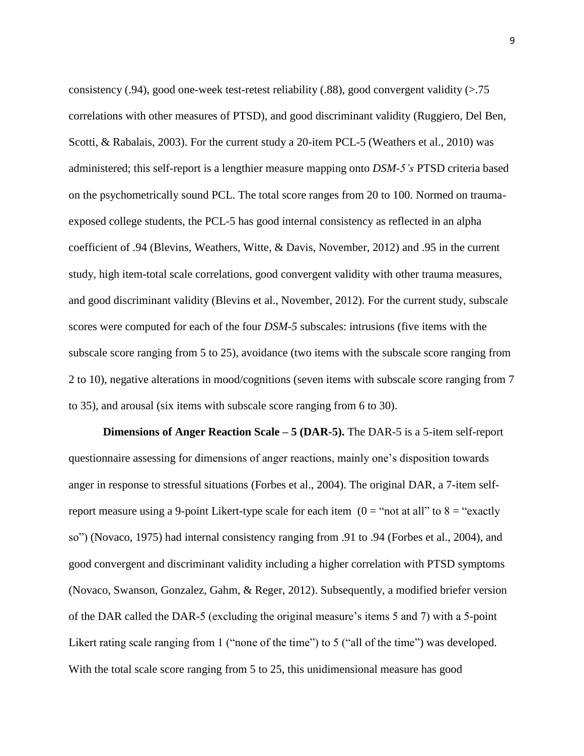consistency (.94), good one-week test-retest reliability (.88), good convergent validity ( $> 75$ correlations with other measures of PTSD), and good discriminant validity (Ruggiero, Del Ben, Scotti, & Rabalais, 2003). For the current study a 20-item PCL-5 (Weathers et al., 2010) was administered; this self-report is a lengthier measure mapping onto *DSM-5's* PTSD criteria based on the psychometrically sound PCL. The total score ranges from 20 to 100. Normed on traumaexposed college students, the PCL-5 has good internal consistency as reflected in an alpha coefficient of .94 (Blevins, Weathers, Witte, & Davis, November, 2012) and .95 in the current study, high item-total scale correlations, good convergent validity with other trauma measures, and good discriminant validity (Blevins et al., November, 2012). For the current study, subscale scores were computed for each of the four *DSM*-*5* subscales: intrusions (five items with the subscale score ranging from 5 to 25), avoidance (two items with the subscale score ranging from 2 to 10), negative alterations in mood/cognitions (seven items with subscale score ranging from 7 to 35), and arousal (six items with subscale score ranging from 6 to 30).

**Dimensions of Anger Reaction Scale – 5 (DAR-5).** The DAR-5 is a 5-item self-report questionnaire assessing for dimensions of anger reactions, mainly one's disposition towards anger in response to stressful situations (Forbes et al., 2004). The original DAR, a 7-item selfreport measure using a 9-point Likert-type scale for each item  $(0 = "not at all" to 8 = "exactly"$ so") (Novaco, 1975) had internal consistency ranging from .91 to .94 (Forbes et al., 2004), and good convergent and discriminant validity including a higher correlation with PTSD symptoms (Novaco, Swanson, Gonzalez, Gahm, & Reger, 2012). Subsequently, a modified briefer version of the DAR called the DAR-5 (excluding the original measure's items 5 and 7) with a 5-point Likert rating scale ranging from 1 ("none of the time") to 5 ("all of the time") was developed. With the total scale score ranging from 5 to 25, this unidimensional measure has good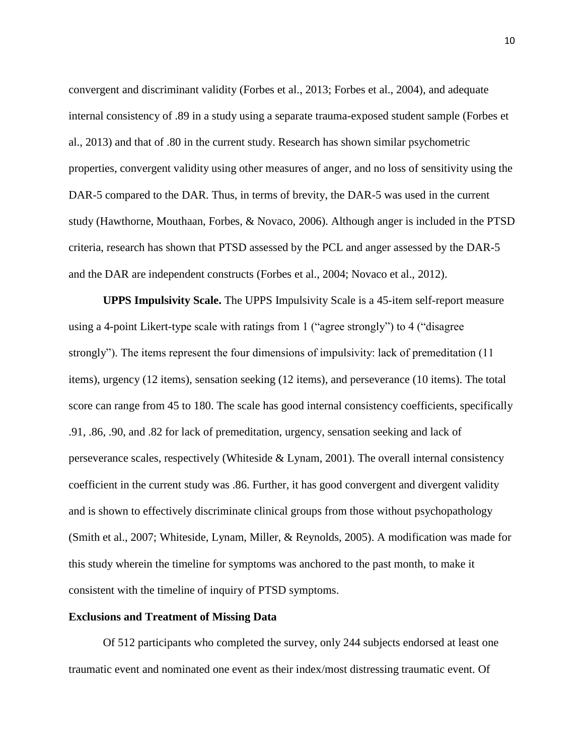convergent and discriminant validity (Forbes et al., 2013; Forbes et al., 2004), and adequate internal consistency of .89 in a study using a separate trauma-exposed student sample (Forbes et al., 2013) and that of .80 in the current study. Research has shown similar psychometric properties, convergent validity using other measures of anger, and no loss of sensitivity using the DAR-5 compared to the DAR. Thus, in terms of brevity, the DAR-5 was used in the current study (Hawthorne, Mouthaan, Forbes, & Novaco, 2006). Although anger is included in the PTSD criteria, research has shown that PTSD assessed by the PCL and anger assessed by the DAR-5 and the DAR are independent constructs (Forbes et al., 2004; Novaco et al., 2012).

**UPPS Impulsivity Scale.** The UPPS Impulsivity Scale is a 45-item self-report measure using a 4-point Likert-type scale with ratings from 1 ("agree strongly") to 4 ("disagree strongly"). The items represent the four dimensions of impulsivity: lack of premeditation (11 items), urgency (12 items), sensation seeking (12 items), and perseverance (10 items). The total score can range from 45 to 180. The scale has good internal consistency coefficients, specifically .91, .86, .90, and .82 for lack of premeditation, urgency, sensation seeking and lack of perseverance scales, respectively (Whiteside  $& Lynam$ , 2001). The overall internal consistency coefficient in the current study was .86. Further, it has good convergent and divergent validity and is shown to effectively discriminate clinical groups from those without psychopathology (Smith et al., 2007; Whiteside, Lynam, Miller, & Reynolds, 2005). A modification was made for this study wherein the timeline for symptoms was anchored to the past month, to make it consistent with the timeline of inquiry of PTSD symptoms.

## **Exclusions and Treatment of Missing Data**

Of 512 participants who completed the survey, only 244 subjects endorsed at least one traumatic event and nominated one event as their index/most distressing traumatic event. Of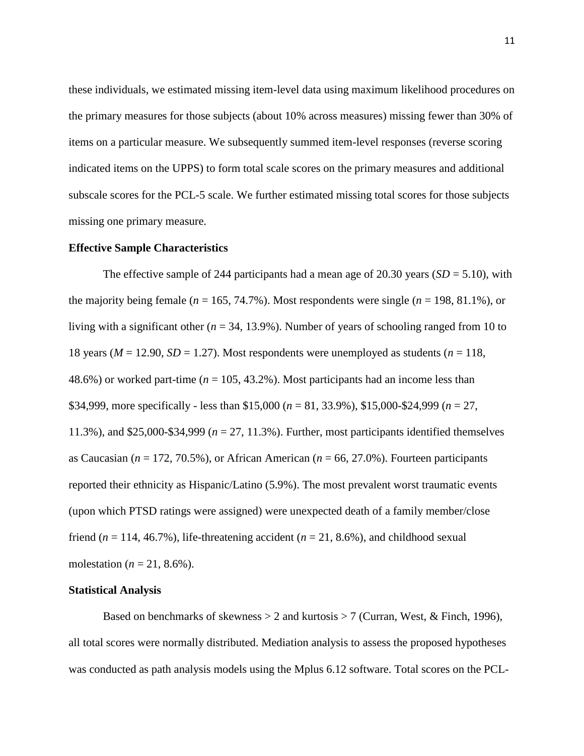these individuals, we estimated missing item-level data using maximum likelihood procedures on the primary measures for those subjects (about 10% across measures) missing fewer than 30% of items on a particular measure. We subsequently summed item-level responses (reverse scoring indicated items on the UPPS) to form total scale scores on the primary measures and additional subscale scores for the PCL-5 scale. We further estimated missing total scores for those subjects missing one primary measure.

#### **Effective Sample Characteristics**

The effective sample of 244 participants had a mean age of 20.30 years (*SD* = 5.10), with the majority being female ( $n = 165, 74.7\%$ ). Most respondents were single ( $n = 198, 81.1\%$ ), or living with a significant other (*n* = 34, 13.9%). Number of years of schooling ranged from 10 to 18 years ( $M = 12.90$ ,  $SD = 1.27$ ). Most respondents were unemployed as students ( $n = 118$ , 48.6%) or worked part-time (*n* = 105, 43.2%). Most participants had an income less than \$34,999, more specifically - less than \$15,000 (*n* = 81, 33.9%), \$15,000-\$24,999 (*n* = 27, 11.3%), and \$25,000-\$34,999 (*n* = 27, 11.3%). Further, most participants identified themselves as Caucasian (*n* = 172, 70.5%), or African American (*n* = 66, 27.0%). Fourteen participants reported their ethnicity as Hispanic/Latino (5.9%). The most prevalent worst traumatic events (upon which PTSD ratings were assigned) were unexpected death of a family member/close friend  $(n = 114, 46.7\%)$ , life-threatening accident  $(n = 21, 8.6\%)$ , and childhood sexual molestation ( $n = 21, 8.6\%$ ).

### **Statistical Analysis**

Based on benchmarks of skewness  $> 2$  and kurtosis  $> 7$  (Curran, West, & Finch, 1996), all total scores were normally distributed. Mediation analysis to assess the proposed hypotheses was conducted as path analysis models using the Mplus 6.12 software. Total scores on the PCL-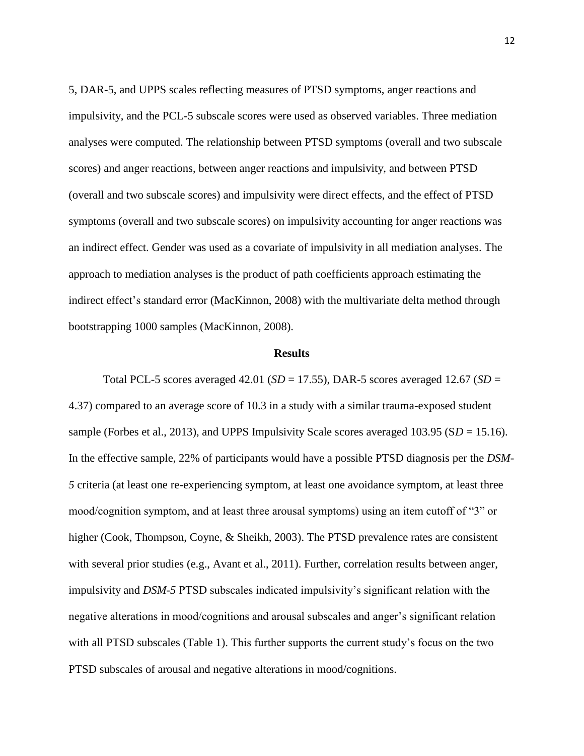5, DAR-5, and UPPS scales reflecting measures of PTSD symptoms, anger reactions and impulsivity, and the PCL-5 subscale scores were used as observed variables. Three mediation analyses were computed. The relationship between PTSD symptoms (overall and two subscale scores) and anger reactions, between anger reactions and impulsivity, and between PTSD (overall and two subscale scores) and impulsivity were direct effects, and the effect of PTSD symptoms (overall and two subscale scores) on impulsivity accounting for anger reactions was an indirect effect. Gender was used as a covariate of impulsivity in all mediation analyses. The approach to mediation analyses is the product of path coefficients approach estimating the indirect effect's standard error (MacKinnon, 2008) with the multivariate delta method through bootstrapping 1000 samples (MacKinnon, 2008).

# **Results**

Total PCL-5 scores averaged 42.01 ( $SD = 17.55$ ), DAR-5 scores averaged 12.67 ( $SD =$ 4.37) compared to an average score of 10.3 in a study with a similar trauma-exposed student sample (Forbes et al., 2013), and UPPS Impulsivity Scale scores averaged 103.95 (S*D* = 15.16). In the effective sample, 22% of participants would have a possible PTSD diagnosis per the *DSM-5* criteria (at least one re-experiencing symptom, at least one avoidance symptom, at least three mood/cognition symptom, and at least three arousal symptoms) using an item cutoff of "3" or higher (Cook, Thompson, Coyne, & Sheikh, 2003). The PTSD prevalence rates are consistent with several prior studies (e.g., Avant et al., 2011). Further, correlation results between anger, impulsivity and *DSM*-*5* PTSD subscales indicated impulsivity's significant relation with the negative alterations in mood/cognitions and arousal subscales and anger's significant relation with all PTSD subscales (Table 1). This further supports the current study's focus on the two PTSD subscales of arousal and negative alterations in mood/cognitions.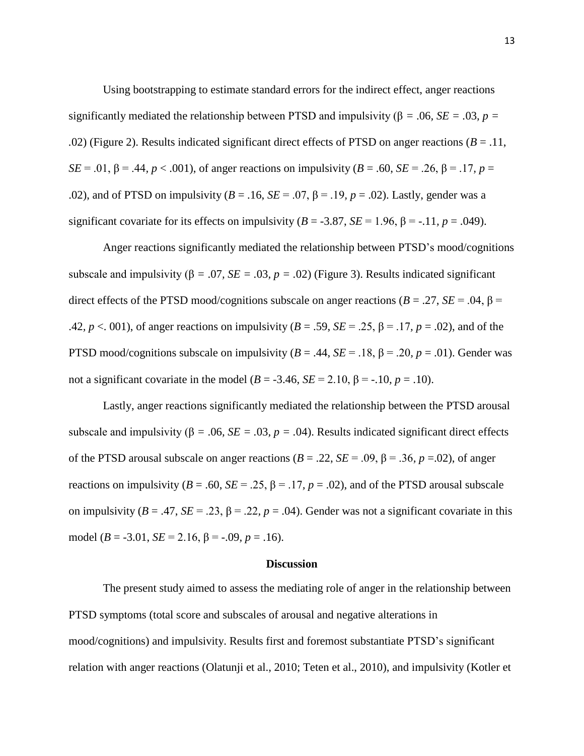Using bootstrapping to estimate standard errors for the indirect effect, anger reactions significantly mediated the relationship between PTSD and impulsivity ( $\beta$  = .06*, SE* = .03*, p* = *.*02) (Figure 2). Results indicated significant direct effects of PTSD on anger reactions (*B* = .11, *SE* = .01, β = .44*, p* < .001), of anger reactions on impulsivity (*B* = .60, *SE* = .26, β = .17*, p* = .02), and of PTSD on impulsivity ( $B = .16$ ,  $SE = .07$ ,  $\beta = .19$ ,  $p = .02$ ). Lastly, gender was a significant covariate for its effects on impulsivity  $(B = -3.87, SE = 1.96, B = -11, p = .049)$ .

Anger reactions significantly mediated the relationship between PTSD's mood/cognitions subscale and impulsivity ( $\beta = .07$ ,  $SE = .03$ ,  $p = .02$ ) (Figure 3). Results indicated significant direct effects of the PTSD mood/cognitions subscale on anger reactions ( $B = .27$ ,  $SE = .04$ ,  $\beta =$ .42*, p* < 001), of anger reactions on impulsivity ( $B = .59$ ,  $SE = .25$ ,  $\beta = .17$ ,  $p = .02$ ), and of the PTSD mood/cognitions subscale on impulsivity ( $B = .44$ ,  $SE = .18$ ,  $\beta = .20$ ,  $p = .01$ ). Gender was not a significant covariate in the model (*B* = -3.46, *SE* = 2.10, β = -.10, *p* = .10).

Lastly, anger reactions significantly mediated the relationship between the PTSD arousal subscale and impulsivity ( $\beta$  = .06*, SE* = .03*, p* = .04). Results indicated significant direct effects of the PTSD arousal subscale on anger reactions  $(B = .22, SE = .09, \beta = .36, p = .02)$ , of anger reactions on impulsivity ( $B = .60$ ,  $SE = .25$ ,  $\beta = .17$ ,  $p = .02$ ), and of the PTSD arousal subscale on impulsivity ( $B = .47$ ,  $SE = .23$ ,  $\beta = .22$ ,  $p = .04$ ). Gender was not a significant covariate in this model ( $B = -3.01$ ,  $SE = 2.16$ ,  $\beta = -.09$ ,  $p = .16$ ).

# **Discussion**

The present study aimed to assess the mediating role of anger in the relationship between PTSD symptoms (total score and subscales of arousal and negative alterations in mood/cognitions) and impulsivity. Results first and foremost substantiate PTSD's significant relation with anger reactions (Olatunji et al., 2010; Teten et al., 2010), and impulsivity (Kotler et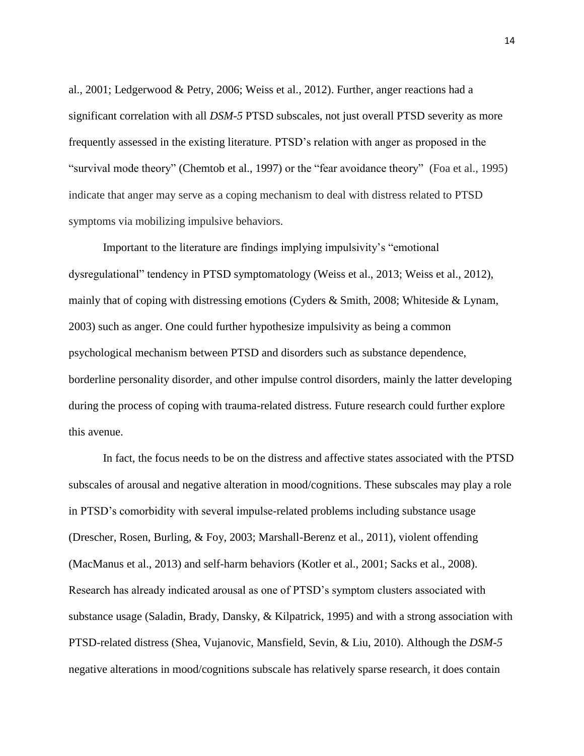al., 2001; Ledgerwood & Petry, 2006; Weiss et al., 2012). Further, anger reactions had a significant correlation with all *DSM*-*5* PTSD subscales, not just overall PTSD severity as more frequently assessed in the existing literature. PTSD's relation with anger as proposed in the "survival mode theory" (Chemtob et al., 1997) or the "fear avoidance theory" (Foa et al., 1995) indicate that anger may serve as a coping mechanism to deal with distress related to PTSD symptoms via mobilizing impulsive behaviors.

Important to the literature are findings implying impulsivity's "emotional dysregulational" tendency in PTSD symptomatology (Weiss et al., 2013; Weiss et al., 2012), mainly that of coping with distressing emotions (Cyders & Smith, 2008; Whiteside & Lynam, 2003) such as anger. One could further hypothesize impulsivity as being a common psychological mechanism between PTSD and disorders such as substance dependence, borderline personality disorder, and other impulse control disorders, mainly the latter developing during the process of coping with trauma-related distress. Future research could further explore this avenue.

In fact, the focus needs to be on the distress and affective states associated with the PTSD subscales of arousal and negative alteration in mood/cognitions. These subscales may play a role in PTSD's comorbidity with several impulse-related problems including substance usage (Drescher, Rosen, Burling, & Foy, 2003; Marshall-Berenz et al., 2011), violent offending (MacManus et al., 2013) and self-harm behaviors (Kotler et al., 2001; Sacks et al., 2008). Research has already indicated arousal as one of PTSD's symptom clusters associated with substance usage (Saladin, Brady, Dansky, & Kilpatrick, 1995) and with a strong association with PTSD-related distress (Shea, Vujanovic, Mansfield, Sevin, & Liu, 2010). Although the *DSM-5* negative alterations in mood/cognitions subscale has relatively sparse research, it does contain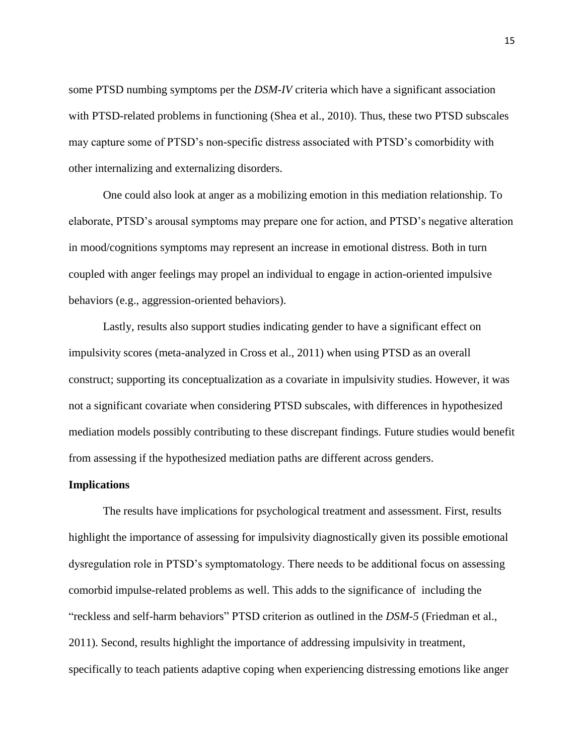some PTSD numbing symptoms per the *DSM-IV* criteria which have a significant association with PTSD-related problems in functioning (Shea et al., 2010). Thus, these two PTSD subscales may capture some of PTSD's non-specific distress associated with PTSD's comorbidity with other internalizing and externalizing disorders.

One could also look at anger as a mobilizing emotion in this mediation relationship. To elaborate, PTSD's arousal symptoms may prepare one for action, and PTSD's negative alteration in mood/cognitions symptoms may represent an increase in emotional distress. Both in turn coupled with anger feelings may propel an individual to engage in action-oriented impulsive behaviors (e.g., aggression-oriented behaviors).

Lastly, results also support studies indicating gender to have a significant effect on impulsivity scores (meta-analyzed in Cross et al., 2011) when using PTSD as an overall construct; supporting its conceptualization as a covariate in impulsivity studies. However, it was not a significant covariate when considering PTSD subscales, with differences in hypothesized mediation models possibly contributing to these discrepant findings. Future studies would benefit from assessing if the hypothesized mediation paths are different across genders.

## **Implications**

The results have implications for psychological treatment and assessment. First, results highlight the importance of assessing for impulsivity diagnostically given its possible emotional dysregulation role in PTSD's symptomatology. There needs to be additional focus on assessing comorbid impulse-related problems as well. This adds to the significance of including the "reckless and self-harm behaviors" PTSD criterion as outlined in the *DSM-5* (Friedman et al., 2011). Second, results highlight the importance of addressing impulsivity in treatment, specifically to teach patients adaptive coping when experiencing distressing emotions like anger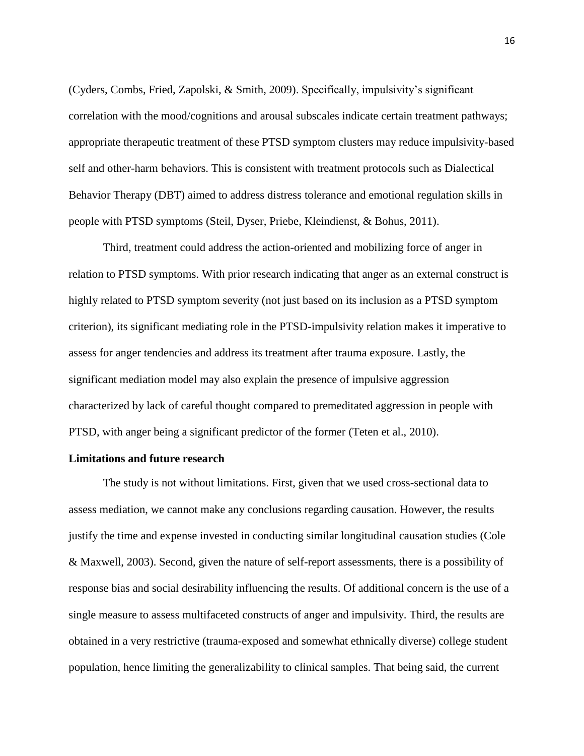(Cyders, Combs, Fried, Zapolski, & Smith, 2009). Specifically, impulsivity's significant correlation with the mood/cognitions and arousal subscales indicate certain treatment pathways; appropriate therapeutic treatment of these PTSD symptom clusters may reduce impulsivity-based self and other-harm behaviors. This is consistent with treatment protocols such as Dialectical Behavior Therapy (DBT) aimed to address distress tolerance and emotional regulation skills in people with PTSD symptoms (Steil, Dyser, Priebe, Kleindienst, & Bohus, 2011).

Third, treatment could address the action-oriented and mobilizing force of anger in relation to PTSD symptoms. With prior research indicating that anger as an external construct is highly related to PTSD symptom severity (not just based on its inclusion as a PTSD symptom criterion), its significant mediating role in the PTSD-impulsivity relation makes it imperative to assess for anger tendencies and address its treatment after trauma exposure. Lastly, the significant mediation model may also explain the presence of impulsive aggression characterized by lack of careful thought compared to premeditated aggression in people with PTSD, with anger being a significant predictor of the former (Teten et al., 2010).

#### **Limitations and future research**

The study is not without limitations. First, given that we used cross-sectional data to assess mediation, we cannot make any conclusions regarding causation. However, the results justify the time and expense invested in conducting similar longitudinal causation studies (Cole & Maxwell, 2003). Second, given the nature of self-report assessments, there is a possibility of response bias and social desirability influencing the results. Of additional concern is the use of a single measure to assess multifaceted constructs of anger and impulsivity. Third, the results are obtained in a very restrictive (trauma-exposed and somewhat ethnically diverse) college student population, hence limiting the generalizability to clinical samples. That being said, the current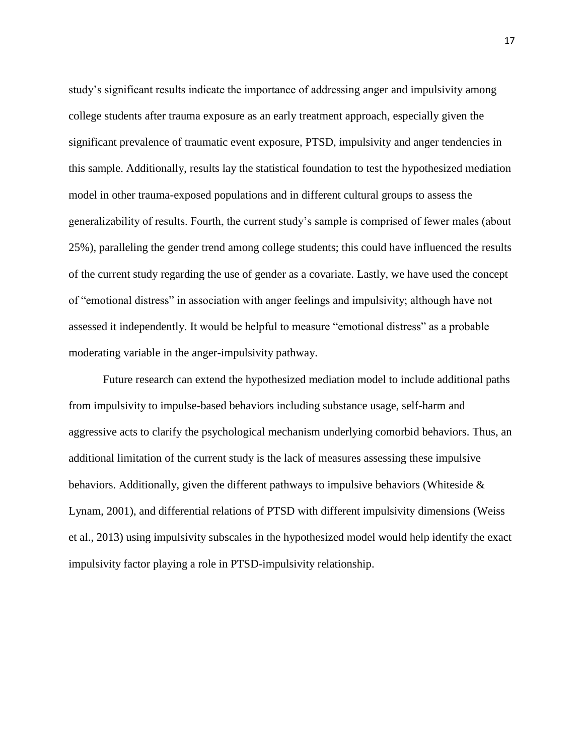study's significant results indicate the importance of addressing anger and impulsivity among college students after trauma exposure as an early treatment approach, especially given the significant prevalence of traumatic event exposure, PTSD, impulsivity and anger tendencies in this sample. Additionally, results lay the statistical foundation to test the hypothesized mediation model in other trauma-exposed populations and in different cultural groups to assess the generalizability of results. Fourth, the current study's sample is comprised of fewer males (about 25%), paralleling the gender trend among college students; this could have influenced the results of the current study regarding the use of gender as a covariate. Lastly, we have used the concept of "emotional distress" in association with anger feelings and impulsivity; although have not assessed it independently. It would be helpful to measure "emotional distress" as a probable moderating variable in the anger-impulsivity pathway.

Future research can extend the hypothesized mediation model to include additional paths from impulsivity to impulse-based behaviors including substance usage, self-harm and aggressive acts to clarify the psychological mechanism underlying comorbid behaviors. Thus, an additional limitation of the current study is the lack of measures assessing these impulsive behaviors. Additionally, given the different pathways to impulsive behaviors (Whiteside & Lynam, 2001), and differential relations of PTSD with different impulsivity dimensions (Weiss et al., 2013) using impulsivity subscales in the hypothesized model would help identify the exact impulsivity factor playing a role in PTSD-impulsivity relationship.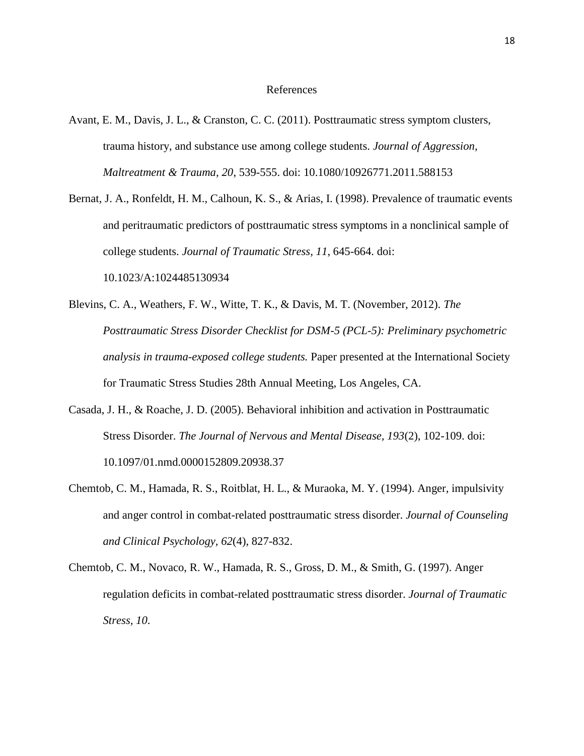#### References

- Avant, E. M., Davis, J. L., & Cranston, C. C. (2011). Posttraumatic stress symptom clusters, trauma history, and substance use among college students. *Journal of Aggression, Maltreatment & Trauma, 20*, 539-555. doi: 10.1080/10926771.2011.588153
- Bernat, J. A., Ronfeldt, H. M., Calhoun, K. S., & Arias, I. (1998). Prevalence of traumatic events and peritraumatic predictors of posttraumatic stress symptoms in a nonclinical sample of college students. *Journal of Traumatic Stress, 11*, 645-664. doi: 10.1023/A:1024485130934
- Blevins, C. A., Weathers, F. W., Witte, T. K., & Davis, M. T. (November, 2012). *The Posttraumatic Stress Disorder Checklist for DSM-5 (PCL-5): Preliminary psychometric analysis in trauma-exposed college students.* Paper presented at the International Society for Traumatic Stress Studies 28th Annual Meeting, Los Angeles, CA.
- Casada, J. H., & Roache, J. D. (2005). Behavioral inhibition and activation in Posttraumatic Stress Disorder. *The Journal of Nervous and Mental Disease, 193*(2), 102-109. doi: 10.1097/01.nmd.0000152809.20938.37
- Chemtob, C. M., Hamada, R. S., Roitblat, H. L., & Muraoka, M. Y. (1994). Anger, impulsivity and anger control in combat-related posttraumatic stress disorder. *Journal of Counseling and Clinical Psychology, 62*(4), 827-832.
- Chemtob, C. M., Novaco, R. W., Hamada, R. S., Gross, D. M., & Smith, G. (1997). Anger regulation deficits in combat-related posttraumatic stress disorder. *Journal of Traumatic Stress, 10*.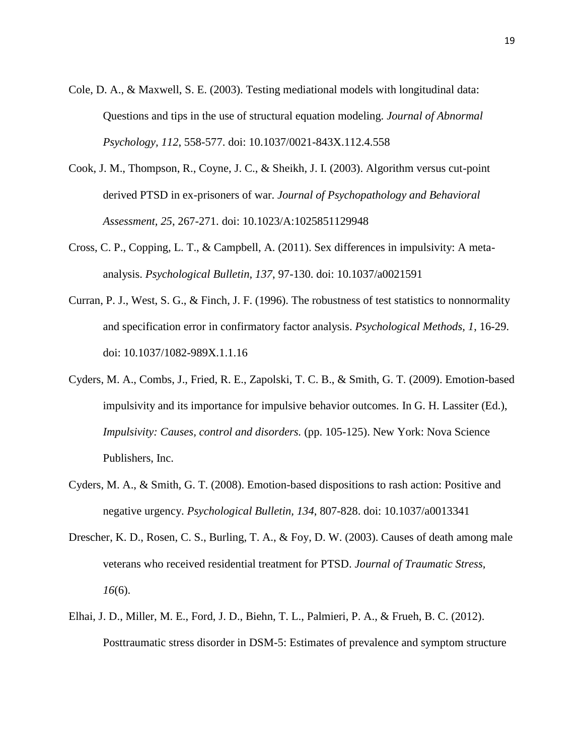- Cole, D. A., & Maxwell, S. E. (2003). Testing mediational models with longitudinal data: Questions and tips in the use of structural equation modeling. *Journal of Abnormal Psychology, 112*, 558-577. doi: 10.1037/0021-843X.112.4.558
- Cook, J. M., Thompson, R., Coyne, J. C., & Sheikh, J. I. (2003). Algorithm versus cut-point derived PTSD in ex-prisoners of war. *Journal of Psychopathology and Behavioral Assessment, 25*, 267-271. doi: 10.1023/A:1025851129948
- Cross, C. P., Copping, L. T., & Campbell, A. (2011). Sex differences in impulsivity: A metaanalysis. *Psychological Bulletin, 137*, 97-130. doi: 10.1037/a0021591
- Curran, P. J., West, S. G., & Finch, J. F. (1996). The robustness of test statistics to nonnormality and specification error in confirmatory factor analysis. *Psychological Methods, 1*, 16-29. doi: 10.1037/1082-989X.1.1.16
- Cyders, M. A., Combs, J., Fried, R. E., Zapolski, T. C. B., & Smith, G. T. (2009). Emotion-based impulsivity and its importance for impulsive behavior outcomes. In G. H. Lassiter (Ed.), *Impulsivity: Causes, control and disorders.* (pp. 105-125). New York: Nova Science Publishers, Inc.
- Cyders, M. A., & Smith, G. T. (2008). Emotion-based dispositions to rash action: Positive and negative urgency. *Psychological Bulletin, 134*, 807-828. doi: 10.1037/a0013341
- Drescher, K. D., Rosen, C. S., Burling, T. A., & Foy, D. W. (2003). Causes of death among male veterans who received residential treatment for PTSD. *Journal of Traumatic Stress, 16*(6).
- Elhai, J. D., Miller, M. E., Ford, J. D., Biehn, T. L., Palmieri, P. A., & Frueh, B. C. (2012). Posttraumatic stress disorder in DSM-5: Estimates of prevalence and symptom structure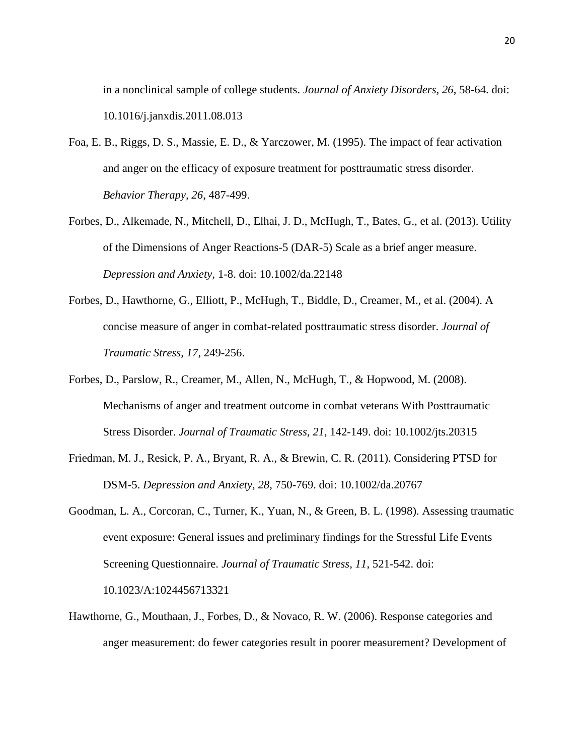in a nonclinical sample of college students. *Journal of Anxiety Disorders, 26*, 58-64. doi: 10.1016/j.janxdis.2011.08.013

- Foa, E. B., Riggs, D. S., Massie, E. D., & Yarczower, M. (1995). The impact of fear activation and anger on the efficacy of exposure treatment for posttraumatic stress disorder. *Behavior Therapy, 26*, 487-499.
- Forbes, D., Alkemade, N., Mitchell, D., Elhai, J. D., McHugh, T., Bates, G., et al. (2013). Utility of the Dimensions of Anger Reactions-5 (DAR-5) Scale as a brief anger measure. *Depression and Anxiety*, 1-8. doi: 10.1002/da.22148
- Forbes, D., Hawthorne, G., Elliott, P., McHugh, T., Biddle, D., Creamer, M., et al. (2004). A concise measure of anger in combat-related posttraumatic stress disorder. *Journal of Traumatic Stress, 17*, 249-256.
- Forbes, D., Parslow, R., Creamer, M., Allen, N., McHugh, T., & Hopwood, M. (2008). Mechanisms of anger and treatment outcome in combat veterans With Posttraumatic Stress Disorder. *Journal of Traumatic Stress, 21*, 142-149. doi: 10.1002/jts.20315
- Friedman, M. J., Resick, P. A., Bryant, R. A., & Brewin, C. R. (2011). Considering PTSD for DSM-5. *Depression and Anxiety, 28*, 750-769. doi: 10.1002/da.20767
- Goodman, L. A., Corcoran, C., Turner, K., Yuan, N., & Green, B. L. (1998). Assessing traumatic event exposure: General issues and preliminary findings for the Stressful Life Events Screening Questionnaire. *Journal of Traumatic Stress, 11*, 521-542. doi: 10.1023/A:1024456713321
- Hawthorne, G., Mouthaan, J., Forbes, D., & Novaco, R. W. (2006). Response categories and anger measurement: do fewer categories result in poorer measurement? Development of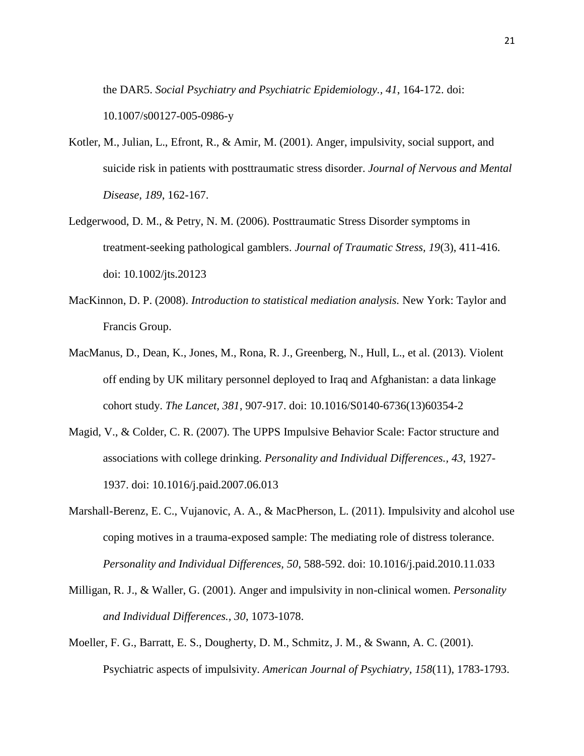the DAR5. *Social Psychiatry and Psychiatric Epidemiology., 41*, 164-172. doi: 10.1007/s00127-005-0986-y

- Kotler, M., Julian, L., Efront, R., & Amir, M. (2001). Anger, impulsivity, social support, and suicide risk in patients with posttraumatic stress disorder. *Journal of Nervous and Mental Disease, 189*, 162-167.
- Ledgerwood, D. M., & Petry, N. M. (2006). Posttraumatic Stress Disorder symptoms in treatment-seeking pathological gamblers. *Journal of Traumatic Stress, 19*(3), 411-416. doi: 10.1002/jts.20123
- MacKinnon, D. P. (2008). *Introduction to statistical mediation analysis.* New York: Taylor and Francis Group.
- MacManus, D., Dean, K., Jones, M., Rona, R. J., Greenberg, N., Hull, L., et al. (2013). Violent off ending by UK military personnel deployed to Iraq and Afghanistan: a data linkage cohort study. *The Lancet, 381*, 907-917. doi: 10.1016/S0140-6736(13)60354-2
- Magid, V., & Colder, C. R. (2007). The UPPS Impulsive Behavior Scale: Factor structure and associations with college drinking. *Personality and Individual Differences., 43*, 1927- 1937. doi: 10.1016/j.paid.2007.06.013
- Marshall-Berenz, E. C., Vujanovic, A. A., & MacPherson, L. (2011). Impulsivity and alcohol use coping motives in a trauma-exposed sample: The mediating role of distress tolerance. *Personality and Individual Differences, 50*, 588-592. doi: 10.1016/j.paid.2010.11.033
- Milligan, R. J., & Waller, G. (2001). Anger and impulsivity in non-clinical women. *Personality and Individual Differences., 30*, 1073-1078.
- Moeller, F. G., Barratt, E. S., Dougherty, D. M., Schmitz, J. M., & Swann, A. C. (2001). Psychiatric aspects of impulsivity. *American Journal of Psychiatry, 158*(11), 1783-1793.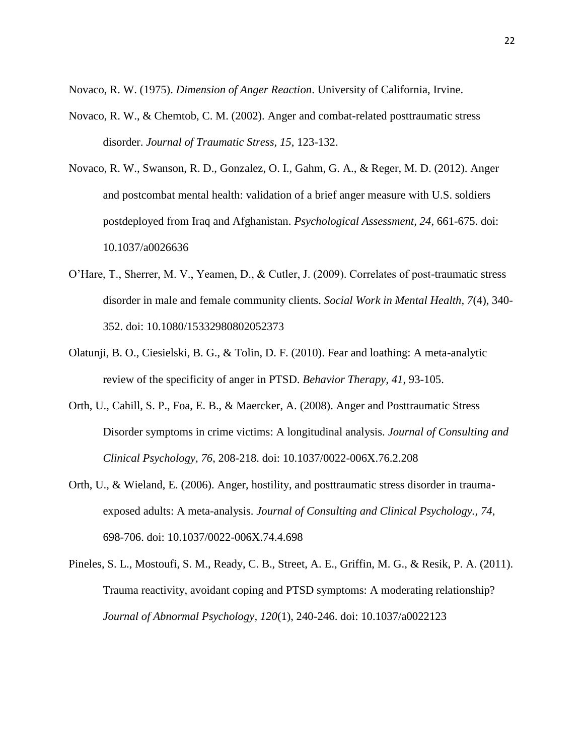Novaco, R. W. (1975). *Dimension of Anger Reaction*. University of California, Irvine.

- Novaco, R. W., & Chemtob, C. M. (2002). Anger and combat-related posttraumatic stress disorder. *Journal of Traumatic Stress, 15*, 123-132.
- Novaco, R. W., Swanson, R. D., Gonzalez, O. I., Gahm, G. A., & Reger, M. D. (2012). Anger and postcombat mental health: validation of a brief anger measure with U.S. soldiers postdeployed from Iraq and Afghanistan. *Psychological Assessment, 24*, 661-675. doi: 10.1037/a0026636
- O'Hare, T., Sherrer, M. V., Yeamen, D., & Cutler, J. (2009). Correlates of post-traumatic stress disorder in male and female community clients. *Social Work in Mental Health, 7*(4), 340- 352. doi: 10.1080/15332980802052373
- Olatunji, B. O., Ciesielski, B. G., & Tolin, D. F. (2010). Fear and loathing: A meta-analytic review of the specificity of anger in PTSD. *Behavior Therapy, 41*, 93-105.
- Orth, U., Cahill, S. P., Foa, E. B., & Maercker, A. (2008). Anger and Posttraumatic Stress Disorder symptoms in crime victims: A longitudinal analysis. *Journal of Consulting and Clinical Psychology, 76*, 208-218. doi: 10.1037/0022-006X.76.2.208
- Orth, U., & Wieland, E. (2006). Anger, hostility, and posttraumatic stress disorder in traumaexposed adults: A meta-analysis. *Journal of Consulting and Clinical Psychology., 74*, 698-706. doi: 10.1037/0022-006X.74.4.698
- Pineles, S. L., Mostoufi, S. M., Ready, C. B., Street, A. E., Griffin, M. G., & Resik, P. A. (2011). Trauma reactivity, avoidant coping and PTSD symptoms: A moderating relationship? *Journal of Abnormal Psychology, 120*(1), 240-246. doi: 10.1037/a0022123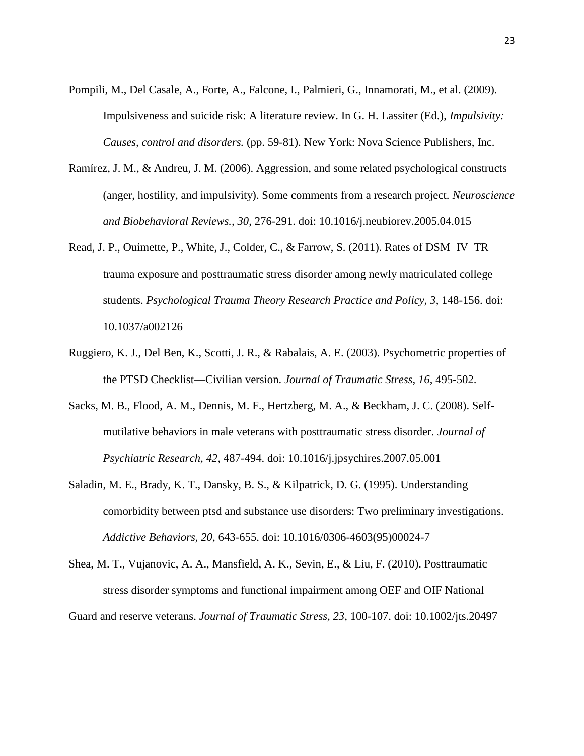- Pompili, M., Del Casale, A., Forte, A., Falcone, I., Palmieri, G., Innamorati, M., et al. (2009). Impulsiveness and suicide risk: A literature review. In G. H. Lassiter (Ed.), *Impulsivity: Causes, control and disorders.* (pp. 59-81). New York: Nova Science Publishers, Inc.
- Ramírez, J. M., & Andreu, J. M. (2006). Aggression, and some related psychological constructs (anger, hostility, and impulsivity). Some comments from a research project. *Neuroscience and Biobehavioral Reviews., 30*, 276-291. doi: 10.1016/j.neubiorev.2005.04.015
- Read, J. P., Ouimette, P., White, J., Colder, C., & Farrow, S. (2011). Rates of DSM–IV–TR trauma exposure and posttraumatic stress disorder among newly matriculated college students. *Psychological Trauma Theory Research Practice and Policy, 3*, 148-156. doi: 10.1037/a002126
- Ruggiero, K. J., Del Ben, K., Scotti, J. R., & Rabalais, A. E. (2003). Psychometric properties of the PTSD Checklist—Civilian version. *Journal of Traumatic Stress, 16*, 495-502.
- Sacks, M. B., Flood, A. M., Dennis, M. F., Hertzberg, M. A., & Beckham, J. C. (2008). Selfmutilative behaviors in male veterans with posttraumatic stress disorder. *Journal of Psychiatric Research, 42*, 487-494. doi: 10.1016/j.jpsychires.2007.05.001
- Saladin, M. E., Brady, K. T., Dansky, B. S., & Kilpatrick, D. G. (1995). Understanding comorbidity between ptsd and substance use disorders: Two preliminary investigations. *Addictive Behaviors, 20*, 643-655. doi: 10.1016/0306-4603(95)00024-7
- Shea, M. T., Vujanovic, A. A., Mansfield, A. K., Sevin, E., & Liu, F. (2010). Posttraumatic stress disorder symptoms and functional impairment among OEF and OIF National Guard and reserve veterans. *Journal of Traumatic Stress, 23*, 100-107. doi: 10.1002/jts.20497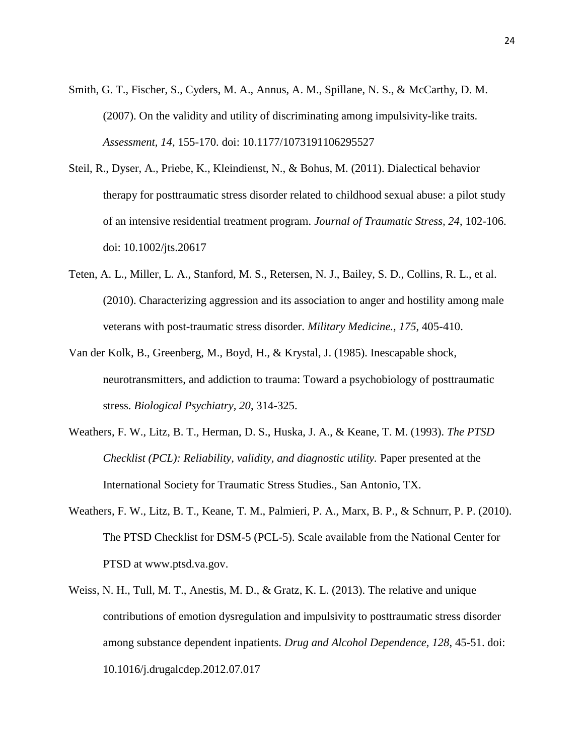- Smith, G. T., Fischer, S., Cyders, M. A., Annus, A. M., Spillane, N. S., & McCarthy, D. M. (2007). On the validity and utility of discriminating among impulsivity-like traits. *Assessment, 14*, 155-170. doi: 10.1177/1073191106295527
- Steil, R., Dyser, A., Priebe, K., Kleindienst, N., & Bohus, M. (2011). Dialectical behavior therapy for posttraumatic stress disorder related to childhood sexual abuse: a pilot study of an intensive residential treatment program. *Journal of Traumatic Stress, 24*, 102-106. doi: 10.1002/jts.20617
- Teten, A. L., Miller, L. A., Stanford, M. S., Retersen, N. J., Bailey, S. D., Collins, R. L., et al. (2010). Characterizing aggression and its association to anger and hostility among male veterans with post-traumatic stress disorder. *Military Medicine., 175*, 405-410.
- Van der Kolk, B., Greenberg, M., Boyd, H., & Krystal, J. (1985). Inescapable shock, neurotransmitters, and addiction to trauma: Toward a psychobiology of posttraumatic stress. *Biological Psychiatry, 20*, 314-325.
- Weathers, F. W., Litz, B. T., Herman, D. S., Huska, J. A., & Keane, T. M. (1993). *The PTSD Checklist (PCL): Reliability, validity, and diagnostic utility.* Paper presented at the International Society for Traumatic Stress Studies., San Antonio, TX.
- Weathers, F. W., Litz, B. T., Keane, T. M., Palmieri, P. A., Marx, B. P., & Schnurr, P. P. (2010). The PTSD Checklist for DSM-5 (PCL-5). Scale available from the National Center for PTSD at www.ptsd.va.gov.
- Weiss, N. H., Tull, M. T., Anestis, M. D., & Gratz, K. L. (2013). The relative and unique contributions of emotion dysregulation and impulsivity to posttraumatic stress disorder among substance dependent inpatients. *Drug and Alcohol Dependence, 128*, 45-51. doi: 10.1016/j.drugalcdep.2012.07.017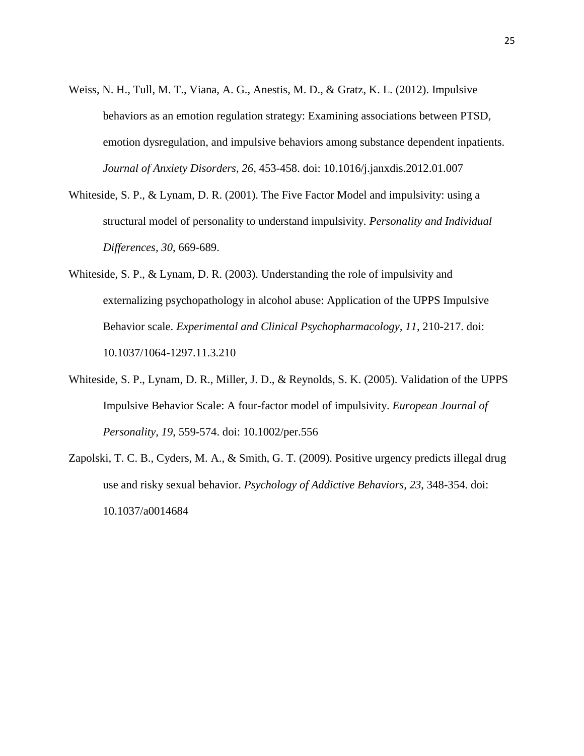- Weiss, N. H., Tull, M. T., Viana, A. G., Anestis, M. D., & Gratz, K. L. (2012). Impulsive behaviors as an emotion regulation strategy: Examining associations between PTSD, emotion dysregulation, and impulsive behaviors among substance dependent inpatients. *Journal of Anxiety Disorders, 26*, 453-458. doi: 10.1016/j.janxdis.2012.01.007
- Whiteside, S. P., & Lynam, D. R. (2001). The Five Factor Model and impulsivity: using a structural model of personality to understand impulsivity. *Personality and Individual Differences, 30*, 669-689.
- Whiteside, S. P., & Lynam, D. R. (2003). Understanding the role of impulsivity and externalizing psychopathology in alcohol abuse: Application of the UPPS Impulsive Behavior scale. *Experimental and Clinical Psychopharmacology, 11*, 210-217. doi: 10.1037/1064-1297.11.3.210
- Whiteside, S. P., Lynam, D. R., Miller, J. D., & Reynolds, S. K. (2005). Validation of the UPPS Impulsive Behavior Scale: A four-factor model of impulsivity. *European Journal of Personality, 19*, 559-574. doi: 10.1002/per.556
- Zapolski, T. C. B., Cyders, M. A., & Smith, G. T. (2009). Positive urgency predicts illegal drug use and risky sexual behavior. *Psychology of Addictive Behaviors, 23*, 348-354. doi: 10.1037/a0014684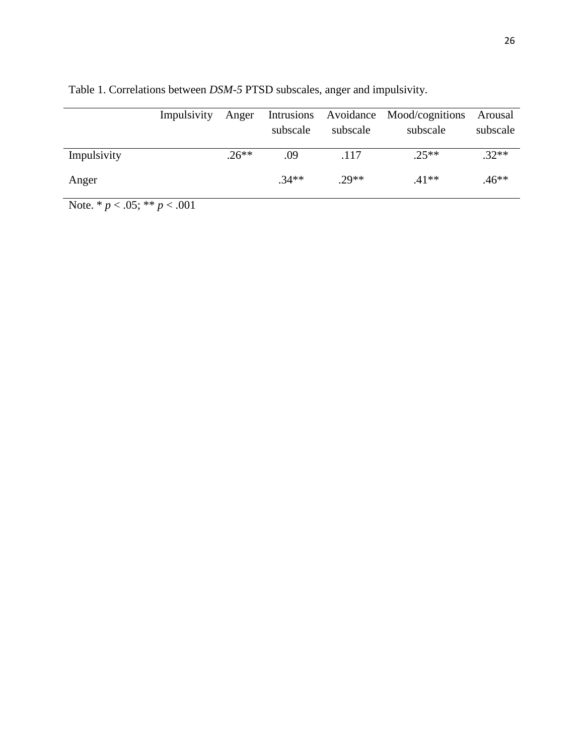|             | Impulsivity | Anger   | subscale | subscale | Intrusions Avoidance Mood/cognitions<br>subscale | Arousal<br>subscale |
|-------------|-------------|---------|----------|----------|--------------------------------------------------|---------------------|
| Impulsivity |             | $.26**$ | .09      | .117     | $.25**$                                          | $.32**$             |
| Anger       |             |         | $.34**$  | $29**$   | $.41**$                                          | .46**               |

Table 1. Correlations between *DSM*-*5* PTSD subscales, anger and impulsivity.

Note. \* *p* < .05; \*\* *p* < .001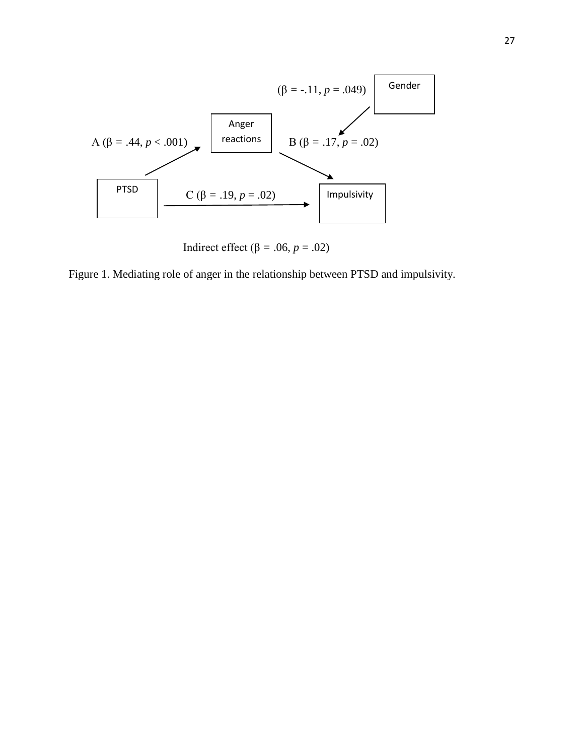

Indirect effect ( $\beta$  = .06, *p* = .02)

Figure 1. Mediating role of anger in the relationship between PTSD and impulsivity.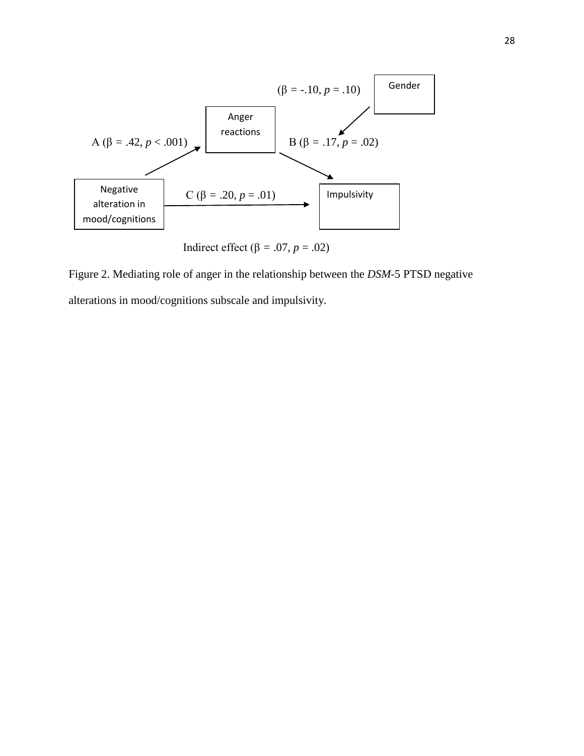

Indirect effect (β = .07,  $p = .02$ )

Figure 2. Mediating role of anger in the relationship between the *DSM*-5 PTSD negative alterations in mood/cognitions subscale and impulsivity.